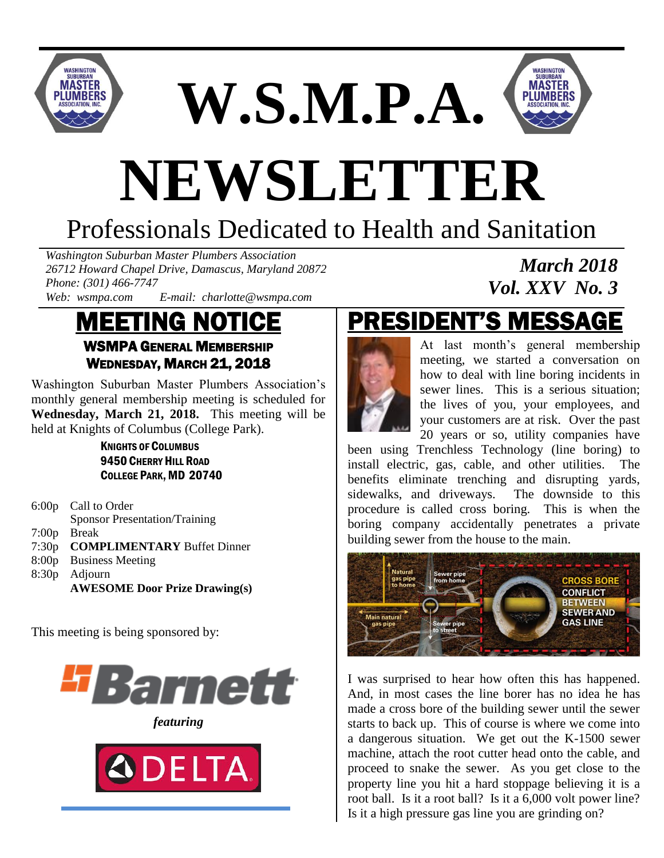

**W.S.M.P.A.**



*March 2018*

*Vol. XXV No. 3*

# **NEWSLETTER**

# Professionals Dedicated to Health and Sanitation

*Washington Suburban Master Plumbers Association 26712 Howard Chapel Drive, Damascus, Maryland 20872 Phone: (301) 466-7747*

*Web: wsmpa.com E-mail: charlotte@wsmpa.com*

#### MEETING NOTICE WSMPA GENERAL MEMBERSHIP WEDNESDAY, MARCH 21, 2018

Washington Suburban Master Plumbers Association's monthly general membership meeting is scheduled for **Wednesday, March 21, 2018.** This meeting will be held at Knights of Columbus (College Park).

> KNIGHTS OF COLUMBUS 9450 CHERRY HILL ROAD COLLEGE PARK, MD 20740

- 6:00p Call to Order Sponsor Presentation/Training 7:00p Break 7:30p **COMPLIMENTARY** Buffet Dinner
- 8:00p Business Meeting
- 8:30p Adjourn
	- **AWESOME Door Prize Drawing(s)**

This meeting is being sponsored by:



*featuring*



# PRESIDENT'S MESSAGE



At last month's general membership meeting, we started a conversation on how to deal with line boring incidents in sewer lines. This is a serious situation; the lives of you, your employees, and your customers are at risk. Over the past 20 years or so, utility companies have

been using Trenchless Technology (line boring) to install electric, gas, cable, and other utilities. The benefits eliminate trenching and disrupting yards, sidewalks, and driveways. The downside to this procedure is called cross boring. This is when the boring company accidentally penetrates a private building sewer from the house to the main.



I was surprised to hear how often this has happened. And, in most cases the line borer has no idea he has made a cross bore of the building sewer until the sewer starts to back up. This of course is where we come into a dangerous situation. We get out the K-1500 sewer machine, attach the root cutter head onto the cable, and proceed to snake the sewer. As you get close to the property line you hit a hard stoppage believing it is a root ball. Is it a root ball? Is it a 6,000 volt power line? Is it a high pressure gas line you are grinding on?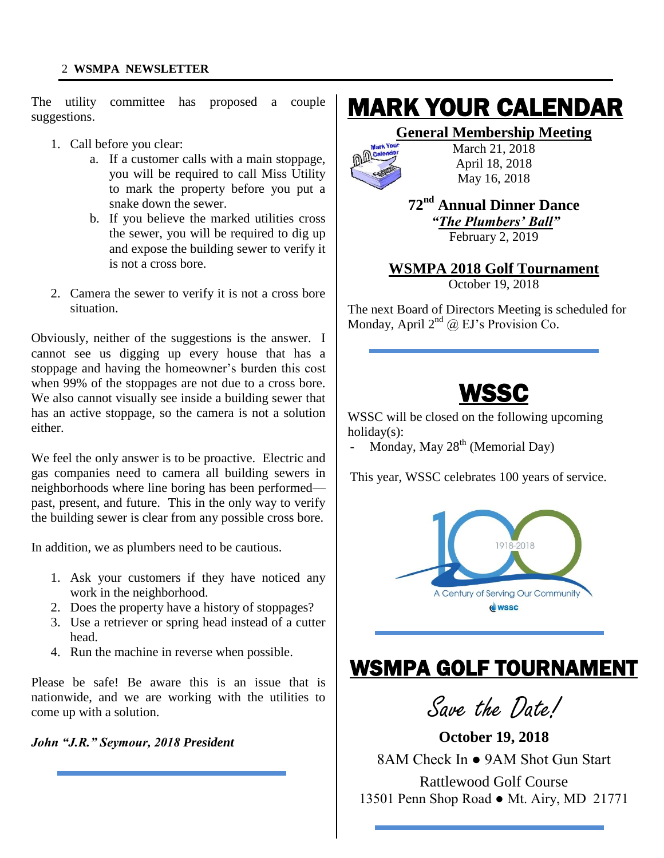The utility committee has proposed a couple suggestions.

- 1. Call before you clear:
	- a. If a customer calls with a main stoppage, you will be required to call Miss Utility to mark the property before you put a snake down the sewer.
	- b. If you believe the marked utilities cross the sewer, you will be required to dig up and expose the building sewer to verify it is not a cross bore.
- 2. Camera the sewer to verify it is not a cross bore situation.

Obviously, neither of the suggestions is the answer. I cannot see us digging up every house that has a stoppage and having the homeowner's burden this cost when 99% of the stoppages are not due to a cross bore. We also cannot visually see inside a building sewer that has an active stoppage, so the camera is not a solution either.

We feel the only answer is to be proactive. Electric and gas companies need to camera all building sewers in neighborhoods where line boring has been performed past, present, and future. This in the only way to verify the building sewer is clear from any possible cross bore.

In addition, we as plumbers need to be cautious.

- 1. Ask your customers if they have noticed any work in the neighborhood.
- 2. Does the property have a history of stoppages?
- 3. Use a retriever or spring head instead of a cutter head.
- 4. Run the machine in reverse when possible.

Please be safe! Be aware this is an issue that is nationwide, and we are working with the utilities to come up with a solution.

Ξ

*John "J.R." Seymour, 2018 President*

### MARK YOUR CALENDAR

#### **General Membership Meeting**



March 21, 2018 April 18, 2018 May 16, 2018

#### **72nd Annual Dinner Dance** *"The Plumbers' Ball"* February 2, 2019

#### **WSMPA 2018 Golf Tournament** October 19, 2018

The next Board of Directors Meeting is scheduled for Monday, April  $2^{nd}$  @ EJ's Provision Co.



l<br>L

WSSC will be closed on the following upcoming holiday(s):

Monday, May  $28<sup>th</sup>$  (Memorial Day)

This year, WSSC celebrates 100 years of service.



### WSMPA GOLF TOURNAMENT

Ī

Save the Date!

**October 19, 2018** 8AM Check In ● 9AM Shot Gun Start Rattlewood Golf Course 13501 Penn Shop Road ● Mt. Airy, MD 21771